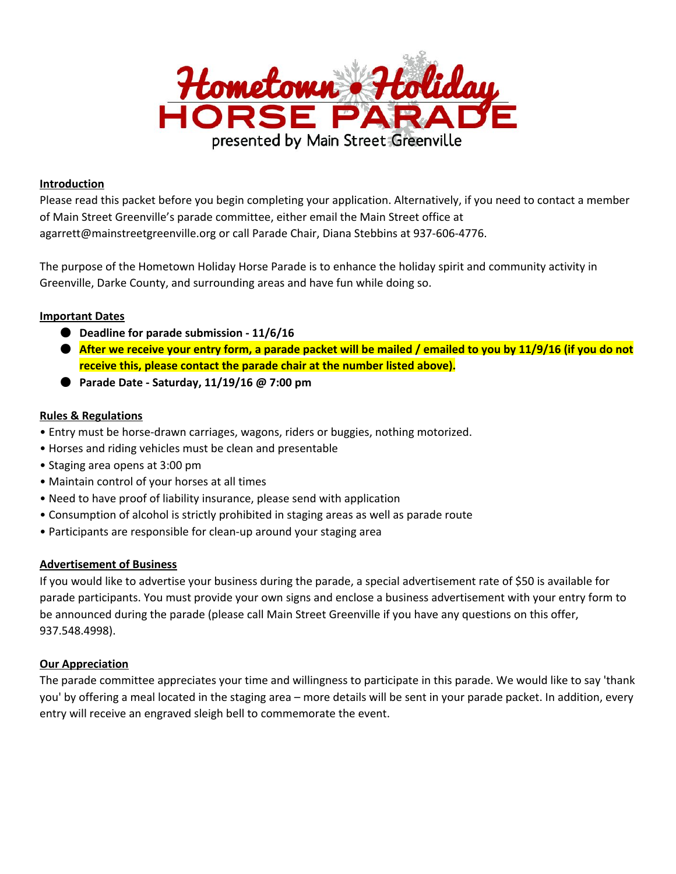

## **Introduction**

Please read this packet before you begin completing your application. Alternatively, if you need to contact a member of Main Street Greenville's parade committee, either email the Main Street office at agarrett@mainstreetgreenville.org or call Parade Chair, Diana Stebbins at 937-606-4776.

The purpose of the Hometown Holiday Horse Parade is to enhance the holiday spirit and community activity in Greenville, Darke County, and surrounding areas and have fun while doing so.

### **Important Dates**

- **Deadline for parade submission 11/6/16**
- After we receive your entry form, a parade packet will be mailed / emailed to you by 11/9/16 (if you do not **receive this, please contact the parade chair at the number listed above).**
- **Parade Date Saturday, 11/19/16 @ 7:00 pm**

### **Rules & Regulations**

- Entry must be horse-drawn carriages, wagons, riders or buggies, nothing motorized.
- Horses and riding vehicles must be clean and presentable
- Staging area opens at 3:00 pm
- Maintain control of your horses at all times
- Need to have proof of liability insurance, please send with application
- Consumption of alcohol is strictly prohibited in staging areas as well as parade route
- Participants are responsible for clean-up around your staging area

### **Advertisement of Business**

If you would like to advertise your business during the parade, a special advertisement rate of \$50 is available for parade participants. You must provide your own signs and enclose a business advertisement with your entry form to be announced during the parade (please call Main Street Greenville if you have any questions on this offer, 937.548.4998).

### **Our Appreciation**

The parade committee appreciates your time and willingness to participate in this parade. We would like to say 'thank you' by offering a meal located in the staging area – more details will be sent in your parade packet. In addition, every entry will receive an engraved sleigh bell to commemorate the event.